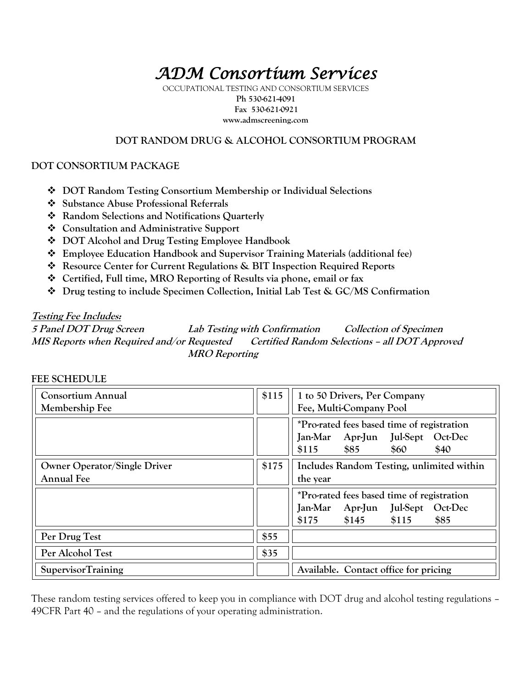# *ADM Consortium Services*

OCCUPATIONAL TESTING AND CONSORTIUM SERVICES **Ph 530-621-4091 Fax 530-621-0921 www.admscreening.com**

### **DOT RANDOM DRUG & ALCOHOL CONSORTIUM PROGRAM**

### **DOT CONSORTIUM PACKAGE**

- **DOT Random Testing Consortium Membership or Individual Selections**
- **Substance Abuse Professional Referrals**
- **Random Selections and Notifications Quarterly**
- **Consultation and Administrative Support**
- **DOT Alcohol and Drug Testing Employee Handbook**
- **Employee Education Handbook and Supervisor Training Materials (additional fee)**
- **Resource Center for Current Regulations & BIT Inspection Required Reports**
- **Certified, Full time, MRO Reporting of Results via phone, email or fax**
- **Drug testing to include Specimen Collection, Initial Lab Test & GC/MS Confirmation**

### **Testing Fee Includes:**

**5 Panel DOT Drug Screen Lab Testing with Confirmation Collection of Specimen MIS Reports when Required and/or Requested Certified Random Selections – all DOT Approved MRO Reporting**

| <b>Consortium Annual</b><br>Membership Fee               | \$115 | 1 to 50 Drivers, Per Company<br>Fee, Multi-Company Pool                                                                         |  |  |  |
|----------------------------------------------------------|-------|---------------------------------------------------------------------------------------------------------------------------------|--|--|--|
|                                                          |       | *Pro-rated fees based time of registration<br>Jul-Sept<br><b>Jan-Mar</b><br>Apr-Jun<br>Oct-Dec<br>\$85<br>\$115<br>\$60<br>\$40 |  |  |  |
| <b>Owner Operator/Single Driver</b><br><b>Annual Fee</b> | \$175 | Includes Random Testing, unlimited within<br>the year                                                                           |  |  |  |
|                                                          |       | *Pro-rated fees based time of registration<br>Jul-Sept<br>Apr-Jun<br>Oct-Dec<br>Jan-Mar<br>\$145<br>\$115<br>\$85<br>\$175      |  |  |  |
| Per Drug Test                                            | \$55  |                                                                                                                                 |  |  |  |
| Per Alcohol Test                                         | \$35  |                                                                                                                                 |  |  |  |
| <b>SupervisorTraining</b>                                |       | Available. Contact office for pricing                                                                                           |  |  |  |

### **FEE SCHEDULE**

These random testing services offered to keep you in compliance with DOT drug and alcohol testing regulations – 49CFR Part 40 – and the regulations of your operating administration.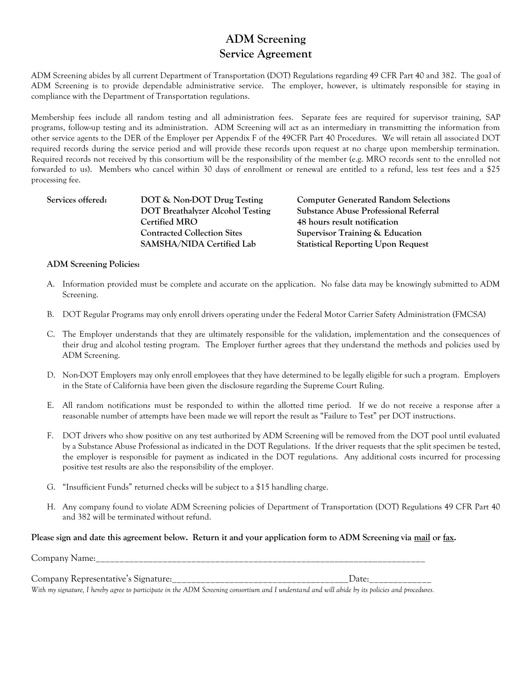### **ADM Screening Service Agreement**

ADM Screening abides by all current Department of Transportation (DOT) Regulations regarding 49 CFR Part 40 and 382. The goal of ADM Screening is to provide dependable administrative service. The employer, however, is ultimately responsible for staying in compliance with the Department of Transportation regulations.

Membership fees include all random testing and all administration fees. Separate fees are required for supervisor training, SAP programs, follow-up testing and its administration. ADM Screening will act as an intermediary in transmitting the information from other service agents to the DER of the Employer per Appendix F of the 49CFR Part 40 Procedures. We will retain all associated DOT required records during the service period and will provide these records upon request at no charge upon membership termination. Required records not received by this consortium will be the responsibility of the member (e.g. MRO records sent to the enrolled not forwarded to us). Members who cancel within 30 days of enrollment or renewal are entitled to a refund, less test fees and a \$25 processing fee.

**Services offered: DOT & Non-DOT Drug Testing Computer Generated Random Selections Certified MRO 48 hours result notification Contracted Collection Sites Supervisor Training & Education SAMSHA/NIDA Certified Lab Statistical Reporting Upon Request**

**DOT Breathalyzer Alcohol Testing Substance Abuse Professional Referral**

### **ADM Screening Policies:**

- A. Information provided must be complete and accurate on the application. No false data may be knowingly submitted to ADM Screening.
- B. DOT Regular Programs may only enroll drivers operating under the Federal Motor Carrier Safety Administration (FMCSA)
- C. The Employer understands that they are ultimately responsible for the validation, implementation and the consequences of their drug and alcohol testing program. The Employer further agrees that they understand the methods and policies used by ADM Screening.
- D. Non-DOT Employers may only enroll employees that they have determined to be legally eligible for such a program. Employers in the State of California have been given the disclosure regarding the Supreme Court Ruling.
- E. All random notifications must be responded to within the allotted time period. If we do not receive a response after a reasonable number of attempts have been made we will report the result as "Failure to Test" per DOT instructions.
- F. DOT drivers who show positive on any test authorized by ADM Screening will be removed from the DOT pool until evaluated by a Substance Abuse Professional as indicated in the DOT Regulations. If the driver requests that the split specimen be tested, the employer is responsible for payment as indicated in the DOT regulations. Any additional costs incurred for processing positive test results are also the responsibility of the employer.
- G. "Insufficient Funds" returned checks will be subject to a \$15 handling charge.
- H. Any company found to violate ADM Screening policies of Department of Transportation (DOT) Regulations 49 CFR Part 40 and 382 will be terminated without refund.

### **Please sign and date this agreement below. Return it and your application form to ADM Screening via mail or fax.**

Company Name:

| Company Representative's Signature: | ')ate: |
|-------------------------------------|--------|

*With my signature, I hereby agree to participate in the ADM Screening consortium and I understand and will abide by its policies and procedures.*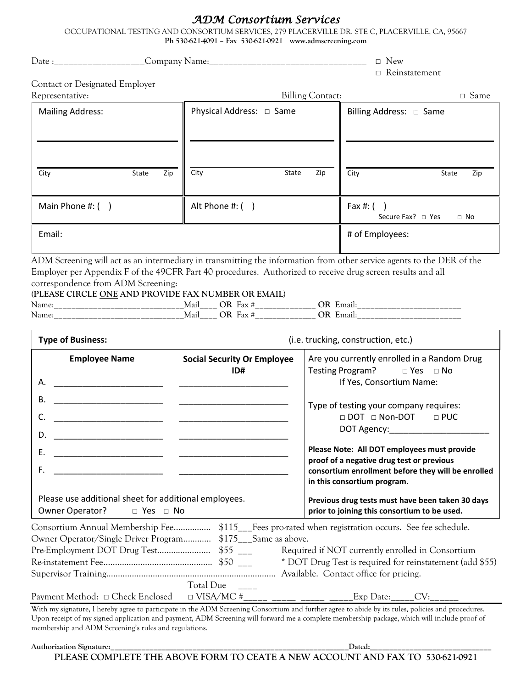### *ADM Consortium Services*

OCCUPATIONAL TESTING AND CONSORTIUM SERVICES, 279 PLACERVILLE DR. STE C, PLACERVILLE, CA, 95667 **Ph 530-621-4091 – Fax 530-621-0921 www.admscreening.com**

| Contact or Designated Employer<br>Representative:<br><b>Billing Contact:</b><br>Physical Address: □ Same<br><b>Mailing Address:</b><br>Billing Address: □ Same<br>City<br>State<br>Zip<br>City<br>Zip<br>City<br>State<br>State<br>Zip<br>Main Phone #: $( )$<br>Alt Phone #: ()<br>Fax #: $( )$<br>Secure Fax? $\Box$ Yes<br>$\Box$ No<br>Email:<br># of Employees:<br>ADM Screening will act as an intermediary in transmitting the information from other service agents to the DER of the<br>Employer per Appendix F of the 49CFR Part 40 procedures. Authorized to receive drug screen results and all<br>correspondence from ADM Screening:<br>(PLEASE CIRCLE ONE AND PROVIDE FAX NUMBER OR EMAIL)<br>Name:______________________________Mail_____ OR Fax #________________ OR Email:_______________________________<br>Name: ________________________________Mail_____ OR Fax #________________ OR Email: ___________________________<br><b>Type of Business:</b><br>(i.e. trucking, construction, etc.)<br><b>Employee Name</b><br>Are you currently enrolled in a Random Drug<br><b>Social Security Or Employee</b><br>Testing Program? □ Yes □ No<br>ID#<br>If Yes, Consortium Name:<br>А.<br>В.<br>Type of testing your company requires:<br>□ DOT □ Non-DOT □ PUC<br>C.<br>DOT Agency:<br>D.<br>Please Note: All DOT employees must provide<br>Ε.<br><u> 1990 - Johann Barn, mars ann an t-</u><br>proof of a negative drug test or previous<br>F.<br>consortium enrollment before they will be enrolled<br><u> 1990 - Johann John Stone, markin</u><br>in this consortium program.<br>Please use additional sheet for additional employees.<br>Previous drug tests must have been taken 30 days<br>Owner Operator?<br>□ Yes □ No<br>prior to joining this consortium to be used.<br>Consortium Annual Membership Fee \$115__Fees pro-rated when registration occurs. See fee schedule.<br>Owner Operator/Single Driver Program \$175__Same as above.<br>Required if NOT currently enrolled in Consortium |             |  | $\Box$ New<br>$\hfill\Box$ Reinstatement                 |  |  |
|-----------------------------------------------------------------------------------------------------------------------------------------------------------------------------------------------------------------------------------------------------------------------------------------------------------------------------------------------------------------------------------------------------------------------------------------------------------------------------------------------------------------------------------------------------------------------------------------------------------------------------------------------------------------------------------------------------------------------------------------------------------------------------------------------------------------------------------------------------------------------------------------------------------------------------------------------------------------------------------------------------------------------------------------------------------------------------------------------------------------------------------------------------------------------------------------------------------------------------------------------------------------------------------------------------------------------------------------------------------------------------------------------------------------------------------------------------------------------------------------------------------------------------------------------------------------------------------------------------------------------------------------------------------------------------------------------------------------------------------------------------------------------------------------------------------------------------------------------------------------------------------------------------------------------------------------------------------------------------------------------------------------------|-------------|--|----------------------------------------------------------|--|--|
|                                                                                                                                                                                                                                                                                                                                                                                                                                                                                                                                                                                                                                                                                                                                                                                                                                                                                                                                                                                                                                                                                                                                                                                                                                                                                                                                                                                                                                                                                                                                                                                                                                                                                                                                                                                                                                                                                                                                                                                                                       | $\Box$ Same |  |                                                          |  |  |
|                                                                                                                                                                                                                                                                                                                                                                                                                                                                                                                                                                                                                                                                                                                                                                                                                                                                                                                                                                                                                                                                                                                                                                                                                                                                                                                                                                                                                                                                                                                                                                                                                                                                                                                                                                                                                                                                                                                                                                                                                       |             |  |                                                          |  |  |
|                                                                                                                                                                                                                                                                                                                                                                                                                                                                                                                                                                                                                                                                                                                                                                                                                                                                                                                                                                                                                                                                                                                                                                                                                                                                                                                                                                                                                                                                                                                                                                                                                                                                                                                                                                                                                                                                                                                                                                                                                       |             |  |                                                          |  |  |
|                                                                                                                                                                                                                                                                                                                                                                                                                                                                                                                                                                                                                                                                                                                                                                                                                                                                                                                                                                                                                                                                                                                                                                                                                                                                                                                                                                                                                                                                                                                                                                                                                                                                                                                                                                                                                                                                                                                                                                                                                       |             |  |                                                          |  |  |
|                                                                                                                                                                                                                                                                                                                                                                                                                                                                                                                                                                                                                                                                                                                                                                                                                                                                                                                                                                                                                                                                                                                                                                                                                                                                                                                                                                                                                                                                                                                                                                                                                                                                                                                                                                                                                                                                                                                                                                                                                       |             |  |                                                          |  |  |
|                                                                                                                                                                                                                                                                                                                                                                                                                                                                                                                                                                                                                                                                                                                                                                                                                                                                                                                                                                                                                                                                                                                                                                                                                                                                                                                                                                                                                                                                                                                                                                                                                                                                                                                                                                                                                                                                                                                                                                                                                       |             |  |                                                          |  |  |
|                                                                                                                                                                                                                                                                                                                                                                                                                                                                                                                                                                                                                                                                                                                                                                                                                                                                                                                                                                                                                                                                                                                                                                                                                                                                                                                                                                                                                                                                                                                                                                                                                                                                                                                                                                                                                                                                                                                                                                                                                       |             |  |                                                          |  |  |
|                                                                                                                                                                                                                                                                                                                                                                                                                                                                                                                                                                                                                                                                                                                                                                                                                                                                                                                                                                                                                                                                                                                                                                                                                                                                                                                                                                                                                                                                                                                                                                                                                                                                                                                                                                                                                                                                                                                                                                                                                       |             |  |                                                          |  |  |
|                                                                                                                                                                                                                                                                                                                                                                                                                                                                                                                                                                                                                                                                                                                                                                                                                                                                                                                                                                                                                                                                                                                                                                                                                                                                                                                                                                                                                                                                                                                                                                                                                                                                                                                                                                                                                                                                                                                                                                                                                       |             |  |                                                          |  |  |
|                                                                                                                                                                                                                                                                                                                                                                                                                                                                                                                                                                                                                                                                                                                                                                                                                                                                                                                                                                                                                                                                                                                                                                                                                                                                                                                                                                                                                                                                                                                                                                                                                                                                                                                                                                                                                                                                                                                                                                                                                       |             |  |                                                          |  |  |
|                                                                                                                                                                                                                                                                                                                                                                                                                                                                                                                                                                                                                                                                                                                                                                                                                                                                                                                                                                                                                                                                                                                                                                                                                                                                                                                                                                                                                                                                                                                                                                                                                                                                                                                                                                                                                                                                                                                                                                                                                       |             |  |                                                          |  |  |
| Total Due<br>Payment Method: □ Check Enclosed<br>$\Box$ VISA/MC #<br>Exp Date:<br>CV:                                                                                                                                                                                                                                                                                                                                                                                                                                                                                                                                                                                                                                                                                                                                                                                                                                                                                                                                                                                                                                                                                                                                                                                                                                                                                                                                                                                                                                                                                                                                                                                                                                                                                                                                                                                                                                                                                                                                 |             |  | * DOT Drug Test is required for reinstatement (add \$55) |  |  |

With my signature, I hereby agree to participate in the ADM Screening Consortium and further agree to abide by its rules, policies and procedures. Upon receipt of my signed application and payment, ADM Screening will forward me a complete membership package, which will include proof of membership and ADM Screening's rules and regulations.

**Authorization Signature:\_\_\_\_\_\_\_\_\_\_\_\_\_\_\_\_\_\_\_\_\_\_\_\_\_\_\_\_\_\_\_\_\_\_\_\_\_\_\_\_\_\_\_\_\_\_\_\_\_\_\_\_\_\_\_\_\_\_\_\_\_Dated:\_\_\_\_\_\_\_\_\_\_\_\_\_\_\_\_\_\_\_\_\_\_\_\_\_\_\_\_\_\_\_ PLEASE COMPLETE THE ABOVE FORM TO CEATE A NEW ACCOUNT AND FAX TO 530-621-0921**